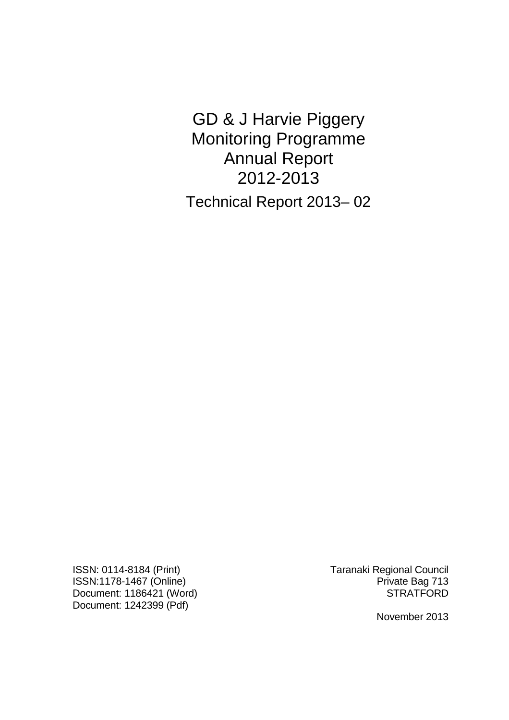GD & J Harvie Piggery Monitoring Programme Annual Report 2012-2013 Technical Report 2013– 02

ISSN: 0114-8184 (Print) Taranaki Regional Council ISSN:1178-1467 (Online) **Private Bag 713** Document: 1186421 (Word) STRATFORD Document: 1242399 (Pdf)

November 2013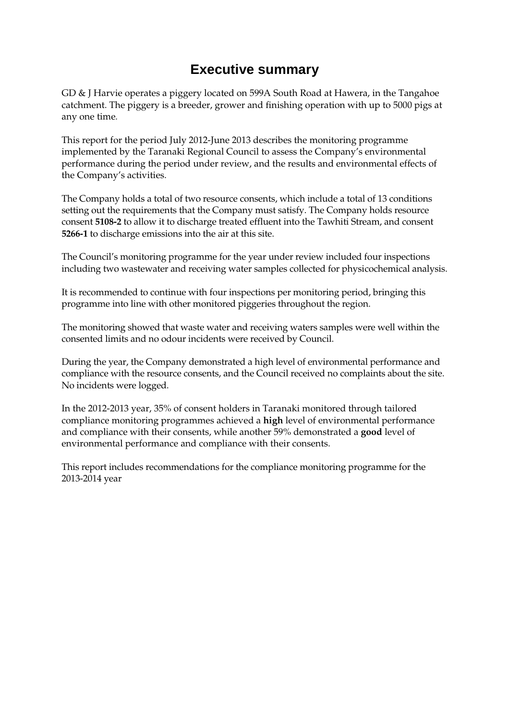# **Executive summary**

GD & J Harvie operates a piggery located on 599A South Road at Hawera, in the Tangahoe catchment. The piggery is a breeder, grower and finishing operation with up to 5000 pigs at any one time*.*

This report for the period July 2012-June 2013 describes the monitoring programme implemented by the Taranaki Regional Council to assess the Company's environmental performance during the period under review, and the results and environmental effects of the Company's activities.

The Company holds a total of two resource consents, which include a total of 13 conditions setting out the requirements that the Company must satisfy. The Company holds resource consent **5108-2** to allow it to discharge treated effluent into the Tawhiti Stream, and consent **5266-1** to discharge emissions into the air at this site.

The Council's monitoring programme for the year under review included four inspections including two wastewater and receiving water samples collected for physicochemical analysis.

It is recommended to continue with four inspections per monitoring period, bringing this programme into line with other monitored piggeries throughout the region.

The monitoring showed that waste water and receiving waters samples were well within the consented limits and no odour incidents were received by Council.

During the year, the Company demonstrated a high level of environmental performance and compliance with the resource consents, and the Council received no complaints about the site. No incidents were logged.

In the 2012-2013 year, 35% of consent holders in Taranaki monitored through tailored compliance monitoring programmes achieved a **high** level of environmental performance and compliance with their consents, while another 59% demonstrated a **good** level of environmental performance and compliance with their consents.

This report includes recommendations for the compliance monitoring programme for the 2013-2014 year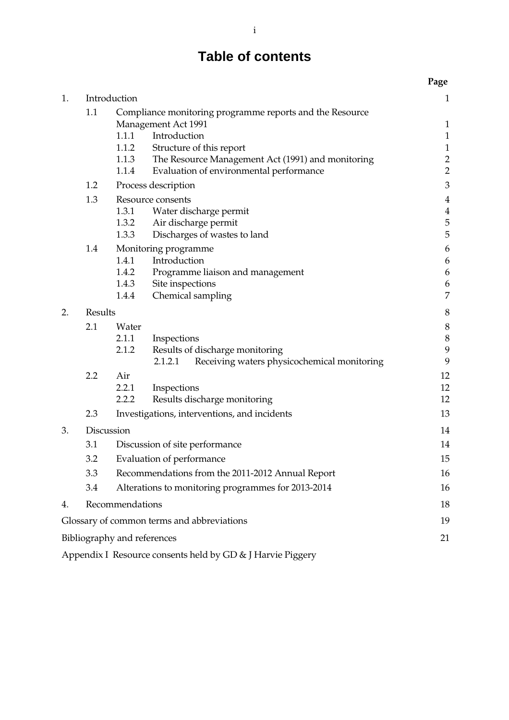# **Table of contents**

|    |         |                                                                                                                                                                                                                                                                        | Page                                                                       |  |
|----|---------|------------------------------------------------------------------------------------------------------------------------------------------------------------------------------------------------------------------------------------------------------------------------|----------------------------------------------------------------------------|--|
| 1. |         | Introduction                                                                                                                                                                                                                                                           | $\mathbf{1}$                                                               |  |
|    | 1.1     | Compliance monitoring programme reports and the Resource<br><b>Management Act 1991</b><br>1.1.1<br>Introduction<br>1.1.2<br>Structure of this report<br>1.1.3<br>The Resource Management Act (1991) and monitoring<br>1.1.4<br>Evaluation of environmental performance | $\mathbf{1}$<br>$\mathbf{1}$<br>$\begin{array}{c} 1 \\ 2 \\ 2 \end{array}$ |  |
|    | 1.2     | Process description                                                                                                                                                                                                                                                    | 3                                                                          |  |
|    | 1.3     | Resource consents<br>1.3.1<br>Water discharge permit<br>1.3.2<br>Air discharge permit<br>1.3.3<br>Discharges of wastes to land                                                                                                                                         | $\overline{4}$<br>$\overline{\mathbf{4}}$<br>$\frac{5}{5}$                 |  |
|    | 1.4     | Monitoring programme<br>Introduction<br>1.4.1<br>1.4.2<br>Programme liaison and management<br>1.4.3<br>Site inspections<br>1.4.4<br>Chemical sampling                                                                                                                  | 6<br>6<br>6<br>6<br>7                                                      |  |
| 2. | Results |                                                                                                                                                                                                                                                                        |                                                                            |  |
|    | 2.1     | Water<br>2.1.1<br>Inspections<br>2.1.2<br>Results of discharge monitoring<br>Receiving waters physicochemical monitoring<br>2.1.2.1                                                                                                                                    | 8<br>8<br>9<br>9                                                           |  |
|    | 2.2     | Air<br>2.2.1<br>Inspections<br>2.2.2<br>Results discharge monitoring                                                                                                                                                                                                   | 12<br>12<br>12                                                             |  |
|    | 2.3     | Investigations, interventions, and incidents                                                                                                                                                                                                                           | 13                                                                         |  |
| 3. |         | Discussion                                                                                                                                                                                                                                                             | 14                                                                         |  |
|    | 3.1     | Discussion of site performance                                                                                                                                                                                                                                         | 14                                                                         |  |
|    | 3.2     | Evaluation of performance                                                                                                                                                                                                                                              |                                                                            |  |
|    | 3.3     | Recommendations from the 2011-2012 Annual Report                                                                                                                                                                                                                       |                                                                            |  |
|    | 3.4     | Alterations to monitoring programmes for 2013-2014                                                                                                                                                                                                                     | 16                                                                         |  |
| 4. |         | Recommendations                                                                                                                                                                                                                                                        | 18                                                                         |  |
|    |         | Glossary of common terms and abbreviations                                                                                                                                                                                                                             | 19                                                                         |  |
|    |         | Bibliography and references                                                                                                                                                                                                                                            | 21                                                                         |  |
|    |         |                                                                                                                                                                                                                                                                        |                                                                            |  |

Appendix I Resource consents held by GD & J Harvie Piggery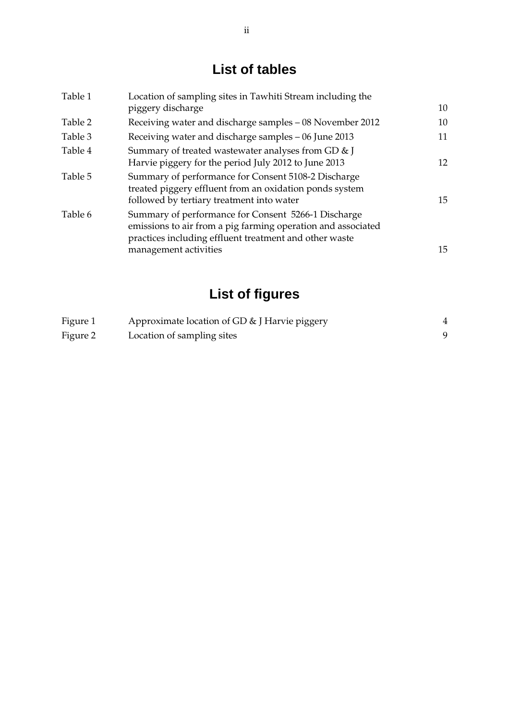# **List of tables**

| Table 1 | Location of sampling sites in Tawhiti Stream including the<br>piggery discharge                                                                                               | 10 |
|---------|-------------------------------------------------------------------------------------------------------------------------------------------------------------------------------|----|
| Table 2 | Receiving water and discharge samples – 08 November 2012                                                                                                                      | 10 |
| Table 3 | Receiving water and discharge samples – 06 June 2013                                                                                                                          | 11 |
| Table 4 | Summary of treated wastewater analyses from GD & J<br>Harvie piggery for the period July 2012 to June 2013                                                                    | 12 |
| Table 5 | Summary of performance for Consent 5108-2 Discharge<br>treated piggery effluent from an oxidation ponds system<br>followed by tertiary treatment into water                   | 15 |
| Table 6 | Summary of performance for Consent 5266-1 Discharge<br>emissions to air from a pig farming operation and associated<br>practices including effluent treatment and other waste |    |
|         | management activities                                                                                                                                                         | 15 |

# **List of figures**

| Figure 1 | Approximate location of GD & J Harvie piggery |  |
|----------|-----------------------------------------------|--|
| Figure 2 | Location of sampling sites                    |  |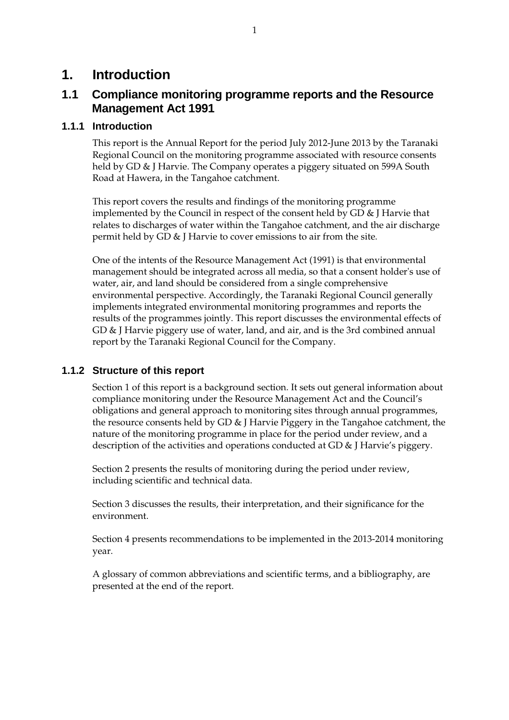## **1. Introduction**

## **1.1 Compliance monitoring programme reports and the Resource Management Act 1991**

### **1.1.1 Introduction**

This report is the Annual Report for the period July 2012-June 2013 by the Taranaki Regional Council on the monitoring programme associated with resource consents held by GD & J Harvie. The Company operates a piggery situated on 599A South Road at Hawera, in the Tangahoe catchment.

This report covers the results and findings of the monitoring programme implemented by the Council in respect of the consent held by GD & J Harvie that relates to discharges of water within the Tangahoe catchment, and the air discharge permit held by GD & J Harvie to cover emissions to air from the site.

One of the intents of the Resource Management Act (1991) is that environmental management should be integrated across all media, so that a consent holder's use of water, air, and land should be considered from a single comprehensive environmental perspective. Accordingly, the Taranaki Regional Council generally implements integrated environmental monitoring programmes and reports the results of the programmes jointly. This report discusses the environmental effects of GD & J Harvie piggery use of water, land, and air, and is the 3rd combined annual report by the Taranaki Regional Council for the Company.

## **1.1.2 Structure of this report**

Section 1 of this report is a background section. It sets out general information about compliance monitoring under the Resource Management Act and the Council's obligations and general approach to monitoring sites through annual programmes, the resource consents held by GD & J Harvie Piggery in the Tangahoe catchment, the nature of the monitoring programme in place for the period under review, and a description of the activities and operations conducted at GD & J Harvie's piggery.

Section 2 presents the results of monitoring during the period under review, including scientific and technical data.

Section 3 discusses the results, their interpretation, and their significance for the environment.

Section 4 presents recommendations to be implemented in the 2013-2014 monitoring year.

A glossary of common abbreviations and scientific terms, and a bibliography, are presented at the end of the report.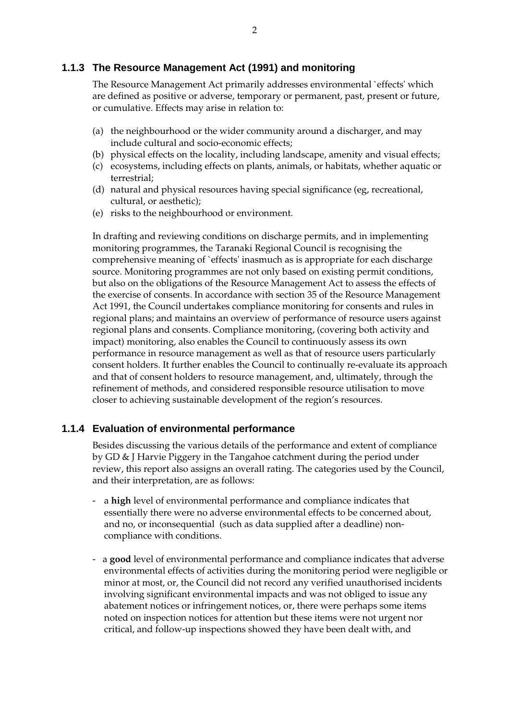### **1.1.3 The Resource Management Act (1991) and monitoring**

The Resource Management Act primarily addresses environmental `effects' which are defined as positive or adverse, temporary or permanent, past, present or future, or cumulative. Effects may arise in relation to:

- (a) the neighbourhood or the wider community around a discharger, and may include cultural and socio-economic effects;
- (b) physical effects on the locality, including landscape, amenity and visual effects;
- (c) ecosystems, including effects on plants, animals, or habitats, whether aquatic or terrestrial;
- (d) natural and physical resources having special significance (eg, recreational, cultural, or aesthetic);
- (e) risks to the neighbourhood or environment.

In drafting and reviewing conditions on discharge permits, and in implementing monitoring programmes, the Taranaki Regional Council is recognising the comprehensive meaning of `effects' inasmuch as is appropriate for each discharge source. Monitoring programmes are not only based on existing permit conditions, but also on the obligations of the Resource Management Act to assess the effects of the exercise of consents. In accordance with section 35 of the Resource Management Act 1991, the Council undertakes compliance monitoring for consents and rules in regional plans; and maintains an overview of performance of resource users against regional plans and consents. Compliance monitoring, (covering both activity and impact) monitoring, also enables the Council to continuously assess its own performance in resource management as well as that of resource users particularly consent holders. It further enables the Council to continually re-evaluate its approach and that of consent holders to resource management, and, ultimately, through the refinement of methods, and considered responsible resource utilisation to move closer to achieving sustainable development of the region's resources.

#### **1.1.4 Evaluation of environmental performance**

Besides discussing the various details of the performance and extent of compliance by GD & J Harvie Piggery in the Tangahoe catchment during the period under review, this report also assigns an overall rating. The categories used by the Council, and their interpretation, are as follows:

- a **high** level of environmental performance and compliance indicates that essentially there were no adverse environmental effects to be concerned about, and no, or inconsequential (such as data supplied after a deadline) noncompliance with conditions.
- a **good** level of environmental performance and compliance indicates that adverse environmental effects of activities during the monitoring period were negligible or minor at most, or, the Council did not record any verified unauthorised incidents involving significant environmental impacts and was not obliged to issue any abatement notices or infringement notices, or, there were perhaps some items noted on inspection notices for attention but these items were not urgent nor critical, and follow-up inspections showed they have been dealt with, and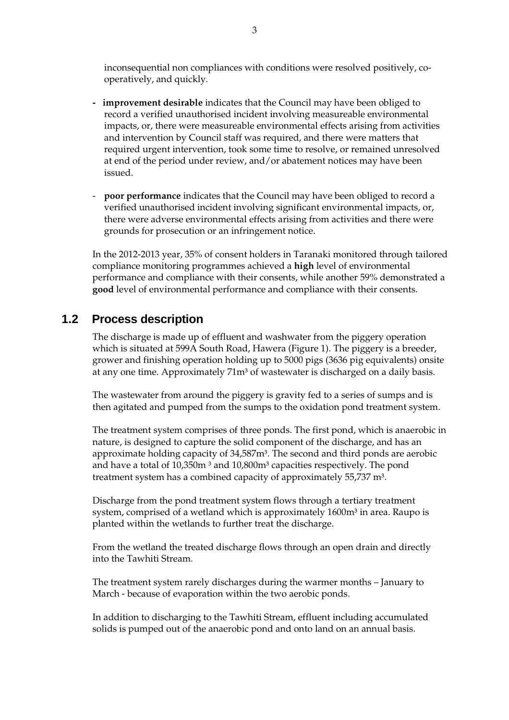inconsequential non compliances with conditions were resolved positively, cooperatively, and quickly.

- **improvement desirable** indicates that the Council may have been obliged to record a verified unauthorised incident involving measureable environmental impacts, or, there were measureable environmental effects arising from activities and intervention by Council staff was required, and there were matters that required urgent intervention, took some time to resolve, or remained unresolved at end of the period under review, and/or abatement notices may have been issued.
- **poor performance** indicates that the Council may have been obliged to record a verified unauthorised incident involving significant environmental impacts, or, there were adverse environmental effects arising from activities and there were grounds for prosecution or an infringement notice.

In the 2012-2013 year, 35% of consent holders in Taranaki monitored through tailored compliance monitoring programmes achieved a **high** level of environmental performance and compliance with their consents, while another 59% demonstrated a **good** level of environmental performance and compliance with their consents.

## **1.2 Process description**

The discharge is made up of effluent and washwater from the piggery operation which is situated at 599A South Road, Hawera (Figure 1). The piggery is a breeder, grower and finishing operation holding up to 5000 pigs (3636 pig equivalents) onsite at any one time. Approximately 71m<sup>3</sup> of wastewater is discharged on a daily basis.

The wastewater from around the piggery is gravity fed to a series of sumps and is then agitated and pumped from the sumps to the oxidation pond treatment system.

The treatment system comprises of three ponds. The first pond, which is anaerobic in nature, is designed to capture the solid component of the discharge, and has an approximate holding capacity of 34,587m<sup>3</sup>. The second and third ponds are aerobic and have a total of  $10,350$ m<sup>3</sup> and  $10,800$ m<sup>3</sup> capacities respectively. The pond treatment system has a combined capacity of approximately 55,737 m<sup>3</sup>.

Discharge from the pond treatment system flows through a tertiary treatment system, comprised of a wetland which is approximately 1600m<sup>3</sup> in area. Raupo is planted within the wetlands to further treat the discharge.

From the wetland the treated discharge flows through an open drain and directly into the Tawhiti Stream.

The treatment system rarely discharges during the warmer months – January to March - because of evaporation within the two aerobic ponds.

In addition to discharging to the Tawhiti Stream, effluent including accumulated solids is pumped out of the anaerobic pond and onto land on an annual basis.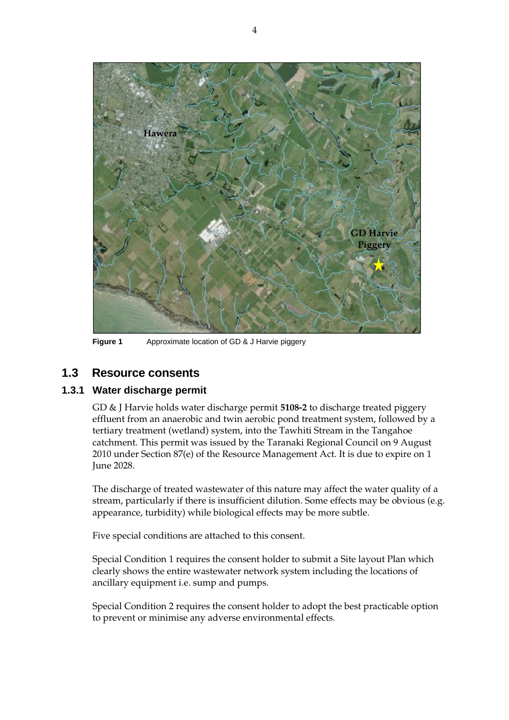

**Figure 1** Approximate location of GD & J Harvie piggery

## **1.3 Resource consents**

### **1.3.1 Water discharge permit**

GD & J Harvie holds water discharge permit **5108-2** to discharge treated piggery effluent from an anaerobic and twin aerobic pond treatment system, followed by a tertiary treatment (wetland) system, into the Tawhiti Stream in the Tangahoe catchment. This permit was issued by the Taranaki Regional Council on 9 August 2010 under Section 87(e) of the Resource Management Act. It is due to expire on 1 June 2028.

The discharge of treated wastewater of this nature may affect the water quality of a stream, particularly if there is insufficient dilution. Some effects may be obvious (e.g. appearance, turbidity) while biological effects may be more subtle.

Five special conditions are attached to this consent.

Special Condition 1 requires the consent holder to submit a Site layout Plan which clearly shows the entire wastewater network system including the locations of ancillary equipment i.e. sump and pumps.

Special Condition 2 requires the consent holder to adopt the best practicable option to prevent or minimise any adverse environmental effects.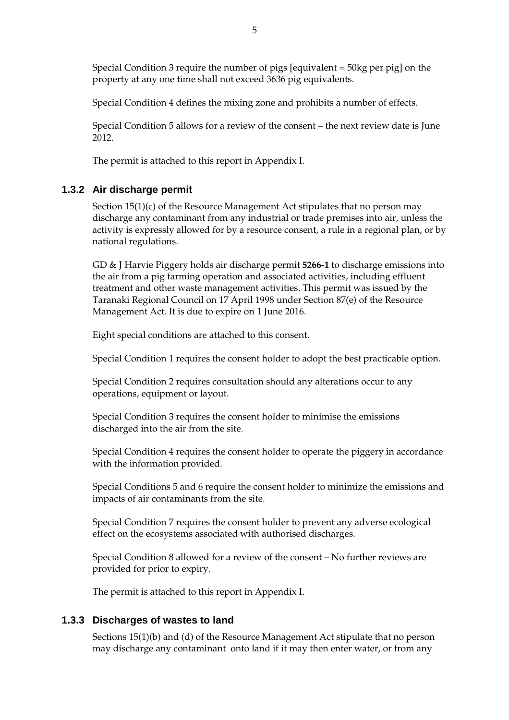Special Condition 3 require the number of pigs [equivalent = 50kg per pig] on the property at any one time shall not exceed 3636 pig equivalents.

Special Condition 4 defines the mixing zone and prohibits a number of effects.

Special Condition 5 allows for a review of the consent – the next review date is June 2012.

The permit is attached to this report in Appendix I.

### **1.3.2 Air discharge permit**

Section 15(1)(c) of the Resource Management Act stipulates that no person may discharge any contaminant from any industrial or trade premises into air, unless the activity is expressly allowed for by a resource consent, a rule in a regional plan, or by national regulations.

GD & J Harvie Piggery holds air discharge permit **5266-1** to discharge emissions into the air from a pig farming operation and associated activities, including effluent treatment and other waste management activities. This permit was issued by the Taranaki Regional Council on 17 April 1998 under Section 87(e) of the Resource Management Act. It is due to expire on 1 June 2016.

Eight special conditions are attached to this consent.

Special Condition 1 requires the consent holder to adopt the best practicable option.

Special Condition 2 requires consultation should any alterations occur to any operations, equipment or layout.

Special Condition 3 requires the consent holder to minimise the emissions discharged into the air from the site.

Special Condition 4 requires the consent holder to operate the piggery in accordance with the information provided.

Special Conditions 5 and 6 require the consent holder to minimize the emissions and impacts of air contaminants from the site.

Special Condition 7 requires the consent holder to prevent any adverse ecological effect on the ecosystems associated with authorised discharges.

Special Condition 8 allowed for a review of the consent – No further reviews are provided for prior to expiry.

The permit is attached to this report in Appendix I.

### **1.3.3 Discharges of wastes to land**

Sections 15(1)(b) and (d) of the Resource Management Act stipulate that no person may discharge any contaminant onto land if it may then enter water, or from any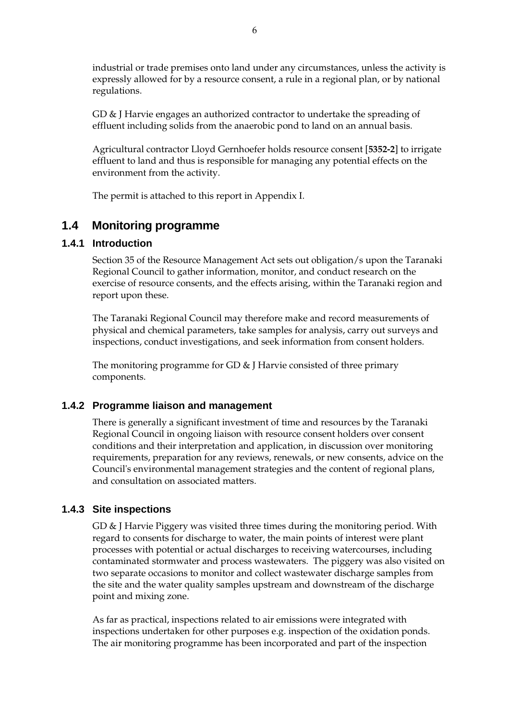industrial or trade premises onto land under any circumstances, unless the activity is expressly allowed for by a resource consent, a rule in a regional plan, or by national regulations.

GD & J Harvie engages an authorized contractor to undertake the spreading of effluent including solids from the anaerobic pond to land on an annual basis.

Agricultural contractor Lloyd Gernhoefer holds resource consent [**5352-2**] to irrigate effluent to land and thus is responsible for managing any potential effects on the environment from the activity.

The permit is attached to this report in Appendix I.

## **1.4 Monitoring programme**

#### **1.4.1 Introduction**

Section 35 of the Resource Management Act sets out obligation/s upon the Taranaki Regional Council to gather information, monitor, and conduct research on the exercise of resource consents, and the effects arising, within the Taranaki region and report upon these.

The Taranaki Regional Council may therefore make and record measurements of physical and chemical parameters, take samples for analysis, carry out surveys and inspections, conduct investigations, and seek information from consent holders.

The monitoring programme for GD & J Harvie consisted of three primary components.

#### **1.4.2 Programme liaison and management**

There is generally a significant investment of time and resources by the Taranaki Regional Council in ongoing liaison with resource consent holders over consent conditions and their interpretation and application, in discussion over monitoring requirements, preparation for any reviews, renewals, or new consents, advice on the Council's environmental management strategies and the content of regional plans, and consultation on associated matters.

### **1.4.3 Site inspections**

GD & J Harvie Piggery was visited three times during the monitoring period. With regard to consents for discharge to water, the main points of interest were plant processes with potential or actual discharges to receiving watercourses, including contaminated stormwater and process wastewaters. The piggery was also visited on two separate occasions to monitor and collect wastewater discharge samples from the site and the water quality samples upstream and downstream of the discharge point and mixing zone.

As far as practical, inspections related to air emissions were integrated with inspections undertaken for other purposes e.g. inspection of the oxidation ponds. The air monitoring programme has been incorporated and part of the inspection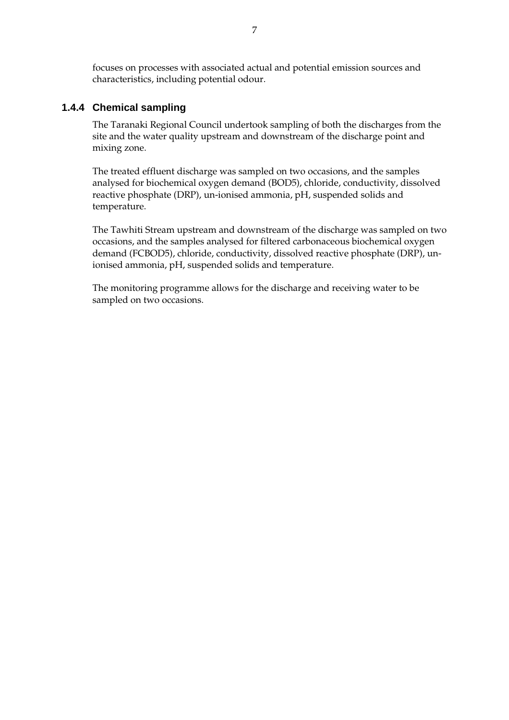focuses on processes with associated actual and potential emission sources and characteristics, including potential odour.

#### **1.4.4 Chemical sampling**

The Taranaki Regional Council undertook sampling of both the discharges from the site and the water quality upstream and downstream of the discharge point and mixing zone.

The treated effluent discharge was sampled on two occasions, and the samples analysed for biochemical oxygen demand (BOD5), chloride, conductivity, dissolved reactive phosphate (DRP), un-ionised ammonia, pH, suspended solids and temperature.

The Tawhiti Stream upstream and downstream of the discharge was sampled on two occasions, and the samples analysed for filtered carbonaceous biochemical oxygen demand (FCBOD5), chloride, conductivity, dissolved reactive phosphate (DRP), unionised ammonia, pH, suspended solids and temperature.

The monitoring programme allows for the discharge and receiving water to be sampled on two occasions.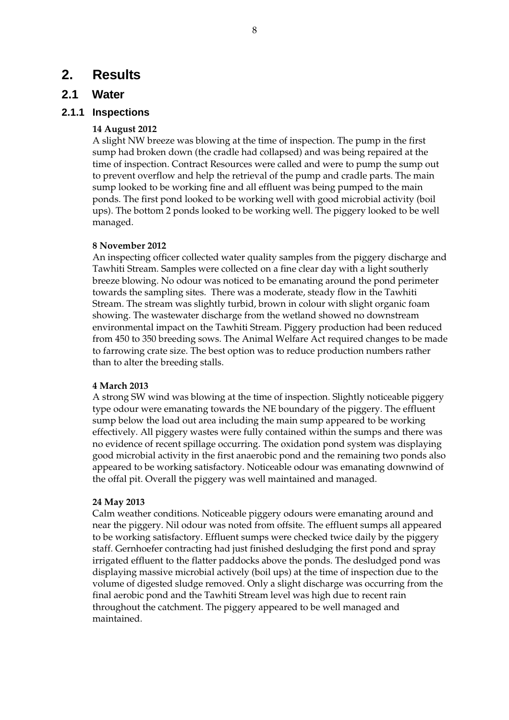## **2. Results**

## **2.1 Water**

#### **2.1.1 Inspections**

#### **14 August 2012**

A slight NW breeze was blowing at the time of inspection. The pump in the first sump had broken down (the cradle had collapsed) and was being repaired at the time of inspection. Contract Resources were called and were to pump the sump out to prevent overflow and help the retrieval of the pump and cradle parts. The main sump looked to be working fine and all effluent was being pumped to the main ponds. The first pond looked to be working well with good microbial activity (boil ups). The bottom 2 ponds looked to be working well. The piggery looked to be well managed.

#### **8 November 2012**

An inspecting officer collected water quality samples from the piggery discharge and Tawhiti Stream. Samples were collected on a fine clear day with a light southerly breeze blowing. No odour was noticed to be emanating around the pond perimeter towards the sampling sites. There was a moderate, steady flow in the Tawhiti Stream. The stream was slightly turbid, brown in colour with slight organic foam showing. The wastewater discharge from the wetland showed no downstream environmental impact on the Tawhiti Stream. Piggery production had been reduced from 450 to 350 breeding sows. The Animal Welfare Act required changes to be made to farrowing crate size. The best option was to reduce production numbers rather than to alter the breeding stalls.

#### **4 March 2013**

A strong SW wind was blowing at the time of inspection. Slightly noticeable piggery type odour were emanating towards the NE boundary of the piggery. The effluent sump below the load out area including the main sump appeared to be working effectively. All piggery wastes were fully contained within the sumps and there was no evidence of recent spillage occurring. The oxidation pond system was displaying good microbial activity in the first anaerobic pond and the remaining two ponds also appeared to be working satisfactory. Noticeable odour was emanating downwind of the offal pit. Overall the piggery was well maintained and managed.

#### **24 May 2013**

Calm weather conditions. Noticeable piggery odours were emanating around and near the piggery. Nil odour was noted from offsite. The effluent sumps all appeared to be working satisfactory. Effluent sumps were checked twice daily by the piggery staff. Gernhoefer contracting had just finished desludging the first pond and spray irrigated effluent to the flatter paddocks above the ponds. The desludged pond was displaying massive microbial actively (boil ups) at the time of inspection due to the volume of digested sludge removed. Only a slight discharge was occurring from the final aerobic pond and the Tawhiti Stream level was high due to recent rain throughout the catchment. The piggery appeared to be well managed and maintained.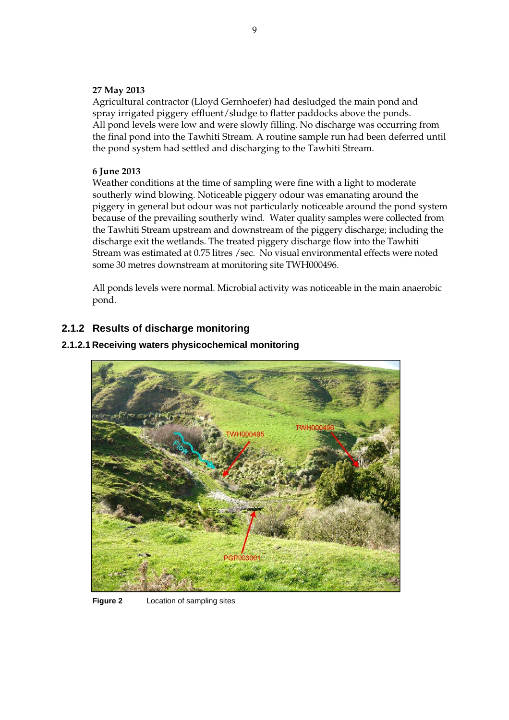#### **27 May 2013**

Agricultural contractor (Lloyd Gernhoefer) had desludged the main pond and spray irrigated piggery effluent/sludge to flatter paddocks above the ponds. All pond levels were low and were slowly filling. No discharge was occurring from the final pond into the Tawhiti Stream. A routine sample run had been deferred until the pond system had settled and discharging to the Tawhiti Stream.

#### **6 June 2013**

Weather conditions at the time of sampling were fine with a light to moderate southerly wind blowing. Noticeable piggery odour was emanating around the piggery in general but odour was not particularly noticeable around the pond system because of the prevailing southerly wind. Water quality samples were collected from the Tawhiti Stream upstream and downstream of the piggery discharge; including the discharge exit the wetlands. The treated piggery discharge flow into the Tawhiti Stream was estimated at 0.75 litres /sec. No visual environmental effects were noted some 30 metres downstream at monitoring site TWH000496.

All ponds levels were normal. Microbial activity was noticeable in the main anaerobic pond.

### **2.1.2 Results of discharge monitoring**

#### **2.1.2.1 Receiving waters physicochemical monitoring**



**Figure 2** Location of sampling sites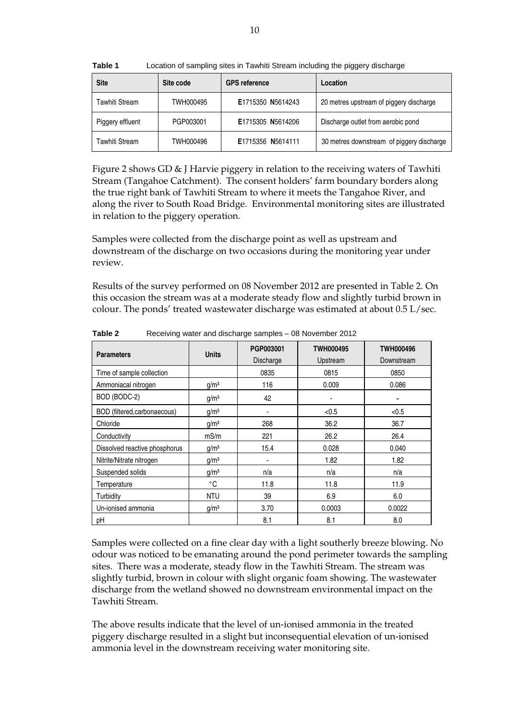| <b>Site</b>           | Site code | <b>GPS reference</b> | Location                                  |
|-----------------------|-----------|----------------------|-------------------------------------------|
| <b>Tawhiti Stream</b> | TWH000495 | E1715350 N5614243    | 20 metres upstream of piggery discharge   |
| Piggery effluent      | PGP003001 | E1715305 N5614206    | Discharge outlet from aerobic pond        |
| <b>Tawhiti Stream</b> | TWH000496 | E1715356 N5614111    | 30 metres downstream of piggery discharge |

**Table 1** Location of sampling sites in Tawhiti Stream including the piggery discharge

Figure 2 shows GD & J Harvie piggery in relation to the receiving waters of Tawhiti Stream (Tangahoe Catchment). The consent holders' farm boundary borders along the true right bank of Tawhiti Stream to where it meets the Tangahoe River, and along the river to South Road Bridge. Environmental monitoring sites are illustrated in relation to the piggery operation.

Samples were collected from the discharge point as well as upstream and downstream of the discharge on two occasions during the monitoring year under review.

Results of the survey performed on 08 November 2012 are presented in Table 2. On this occasion the stream was at a moderate steady flow and slightly turbid brown in colour. The ponds' treated wastewater discharge was estimated at about 0.5 L/sec.

| <b>Parameters</b>             | <b>Units</b>     | PGP003001<br><b>Discharge</b> | <b>TWH000495</b><br>Upstream | TWH000496<br>Downstream |
|-------------------------------|------------------|-------------------------------|------------------------------|-------------------------|
| Time of sample collection     |                  | 0835                          | 0815                         | 0850                    |
| Ammoniacal nitrogen           | g/m <sup>3</sup> | 116                           | 0.009                        | 0.086                   |
| BOD (BODC-2)                  | g/m <sup>3</sup> | 42                            | ۰                            |                         |
| BOD (filtered,carbonaecous)   | g/m <sup>3</sup> | $\blacksquare$                | < 0.5                        | < 0.5                   |
| Chloride                      | g/m <sup>3</sup> | 268                           | 36.2                         | 36.7                    |
| Conductivity                  | mS/m             | 221                           | 26.2                         | 26.4                    |
| Dissolved reactive phosphorus | g/m <sup>3</sup> | 15.4                          | 0.028                        | 0.040                   |
| Nitrite/Nitrate nitrogen      | g/m <sup>3</sup> | ٠                             | 1.82                         | 1.82                    |
| Suspended solids              | g/m <sup>3</sup> | n/a                           | n/a                          | n/a                     |
| Temperature                   | $^{\circ}$ C     | 11.8                          | 11.8                         | 11.9                    |
| Turbidity                     | <b>NTU</b>       | 39                            | 6.9                          | 6.0                     |
| Un-ionised ammonia            | g/m <sup>3</sup> | 3.70                          | 0.0003                       | 0.0022                  |
| pH                            |                  | 8.1                           | 8.1                          | 8.0                     |

**Table 2** Receiving water and discharge samples – 08 November 2012

Samples were collected on a fine clear day with a light southerly breeze blowing. No odour was noticed to be emanating around the pond perimeter towards the sampling sites. There was a moderate, steady flow in the Tawhiti Stream. The stream was slightly turbid, brown in colour with slight organic foam showing. The wastewater discharge from the wetland showed no downstream environmental impact on the Tawhiti Stream.

The above results indicate that the level of un-ionised ammonia in the treated piggery discharge resulted in a slight but inconsequential elevation of un-ionised ammonia level in the downstream receiving water monitoring site.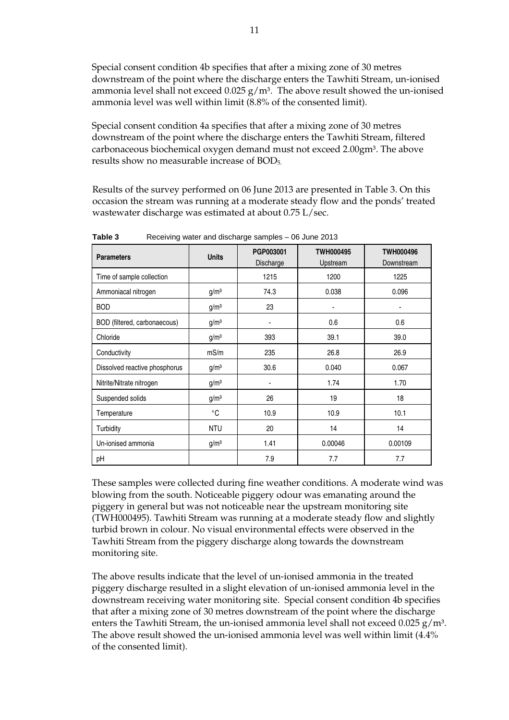Special consent condition 4b specifies that after a mixing zone of 30 metres downstream of the point where the discharge enters the Tawhiti Stream, un-ionised ammonia level shall not exceed  $0.025$  g/m<sup>3</sup>. The above result showed the un-ionised ammonia level was well within limit (8.8% of the consented limit).

Special consent condition 4a specifies that after a mixing zone of 30 metres downstream of the point where the discharge enters the Tawhiti Stream, filtered carbonaceous biochemical oxygen demand must not exceed 2.00gm<sup>3</sup>. The above results show no measurable increase of BOD5.

Results of the survey performed on 06 June 2013 are presented in Table 3. On this occasion the stream was running at a moderate steady flow and the ponds' treated wastewater discharge was estimated at about 0.75 L/sec.

| <b>Parameters</b>             | <b>Units</b>     | PGP003001<br>Discharge | TWH000495<br>Upstream | TWH000496<br>Downstream |
|-------------------------------|------------------|------------------------|-----------------------|-------------------------|
| Time of sample collection     |                  | 1215                   | 1200                  | 1225                    |
| Ammoniacal nitrogen           | g/m <sup>3</sup> | 74.3                   | 0.038                 | 0.096                   |
| <b>BOD</b>                    | g/m <sup>3</sup> | 23                     | ٠                     |                         |
| BOD (filtered, carbonaecous)  | g/m <sup>3</sup> | ۰                      | 0.6                   | 0.6                     |
| Chloride                      | g/m <sup>3</sup> | 393                    | 39.1                  | 39.0                    |
| Conductivity                  | mS/m             | 235                    | 26.8                  | 26.9                    |
| Dissolved reactive phosphorus | g/m <sup>3</sup> | 30.6                   | 0.040                 | 0.067                   |
| Nitrite/Nitrate nitrogen      | g/m <sup>3</sup> |                        | 1.74                  | 1.70                    |
| Suspended solids              | g/m <sup>3</sup> | 26                     | 19                    | 18                      |
| Temperature                   | $^{\circ}$ C     | 10.9                   | 10.9                  | 10.1                    |
| Turbidity                     | <b>NTU</b>       | 20                     | 14                    | 14                      |
| Un-ionised ammonia            | g/m <sup>3</sup> | 1.41                   | 0.00046               | 0.00109                 |
| рH                            |                  | 7.9                    | 7.7                   | 7.7                     |

**Table 3** Receiving water and discharge samples – 06 June 2013

These samples were collected during fine weather conditions. A moderate wind was blowing from the south. Noticeable piggery odour was emanating around the piggery in general but was not noticeable near the upstream monitoring site (TWH000495). Tawhiti Stream was running at a moderate steady flow and slightly turbid brown in colour. No visual environmental effects were observed in the Tawhiti Stream from the piggery discharge along towards the downstream monitoring site.

The above results indicate that the level of un-ionised ammonia in the treated piggery discharge resulted in a slight elevation of un-ionised ammonia level in the downstream receiving water monitoring site. Special consent condition 4b specifies that after a mixing zone of 30 metres downstream of the point where the discharge enters the Tawhiti Stream, the un-ionised ammonia level shall not exceed  $0.025$  g/m<sup>3</sup>. The above result showed the un-ionised ammonia level was well within limit (4.4% of the consented limit).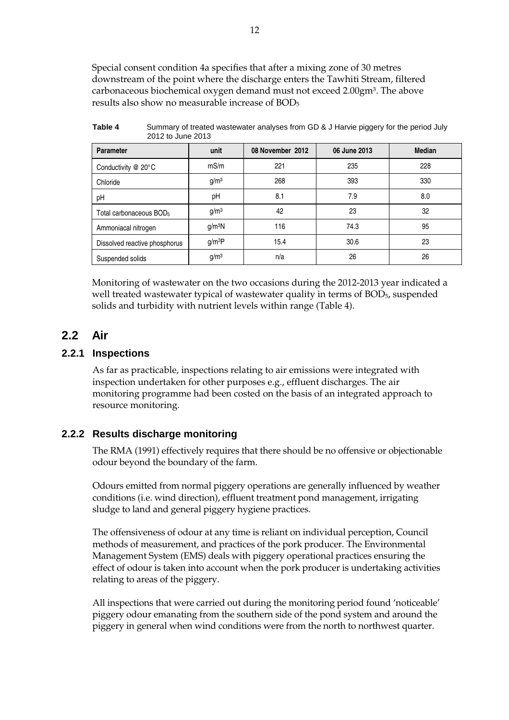Special consent condition 4a specifies that after a mixing zone of 30 metres downstream of the point where the discharge enters the Tawhiti Stream, filtered carbonaceous biochemical oxygen demand must not exceed 2.00gm<sup>3</sup>. The above results also show no measurable increase of BOD<sup>5</sup>

| <b>LUIL IU JUILLEUIJ</b>            |                    |                  |              |               |
|-------------------------------------|--------------------|------------------|--------------|---------------|
| <b>Parameter</b>                    | unit               | 08 November 2012 | 06 June 2013 | <b>Median</b> |
| Conductivity $@$ 20 $°C$            | mS/m               | 221              | 235          | 228           |
| Chloride                            | g/m <sup>3</sup>   | 268              | 393          | 330           |
| pH                                  | pH                 | 8.1              | 7.9          | 8.0           |
| Total carbonaceous BOD <sub>5</sub> | g/m <sup>3</sup>   | 42               | 23           | 32            |
| Ammoniacal nitrogen                 | g/m <sup>3</sup> N | 116              | 74.3         | 95            |
| Dissolved reactive phosphorus       | g/m <sup>3</sup> P | 15.4             | 30.6         | 23            |
| Suspended solids                    | g/m <sup>3</sup>   | n/a              | 26           | 26            |

**Table 4** Summary of treated wastewater analyses from GD & J Harvie piggery for the period July 2012 to June 2013

Monitoring of wastewater on the two occasions during the 2012-2013 year indicated a well treated wastewater typical of wastewater quality in terms of BOD<sub>5</sub>, suspended solids and turbidity with nutrient levels within range (Table 4).

## **2.2 Air**

#### **2.2.1 Inspections**

As far as practicable, inspections relating to air emissions were integrated with inspection undertaken for other purposes e.g., effluent discharges. The air monitoring programme had been costed on the basis of an integrated approach to resource monitoring.

### **2.2.2 Results discharge monitoring**

The RMA (1991) effectively requires that there should be no offensive or objectionable odour beyond the boundary of the farm.

Odours emitted from normal piggery operations are generally influenced by weather conditions (i.e. wind direction), effluent treatment pond management, irrigating sludge to land and general piggery hygiene practices.

The offensiveness of odour at any time is reliant on individual perception, Council methods of measurement, and practices of the pork producer. The Environmental Management System (EMS) deals with piggery operational practices ensuring the effect of odour is taken into account when the pork producer is undertaking activities relating to areas of the piggery.

All inspections that were carried out during the monitoring period found 'noticeable' piggery odour emanating from the southern side of the pond system and around the piggery in general when wind conditions were from the north to northwest quarter.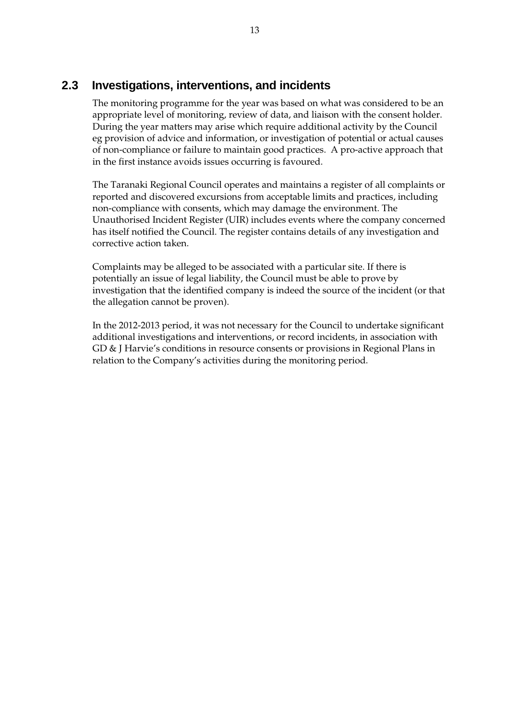## **2.3 Investigations, interventions, and incidents**

The monitoring programme for the year was based on what was considered to be an appropriate level of monitoring, review of data, and liaison with the consent holder. During the year matters may arise which require additional activity by the Council eg provision of advice and information, or investigation of potential or actual causes of non-compliance or failure to maintain good practices. A pro-active approach that in the first instance avoids issues occurring is favoured.

The Taranaki Regional Council operates and maintains a register of all complaints or reported and discovered excursions from acceptable limits and practices, including non-compliance with consents, which may damage the environment. The Unauthorised Incident Register (UIR) includes events where the company concerned has itself notified the Council. The register contains details of any investigation and corrective action taken.

Complaints may be alleged to be associated with a particular site. If there is potentially an issue of legal liability, the Council must be able to prove by investigation that the identified company is indeed the source of the incident (or that the allegation cannot be proven).

In the 2012-2013 period, it was not necessary for the Council to undertake significant additional investigations and interventions, or record incidents, in association with GD & J Harvie's conditions in resource consents or provisions in Regional Plans in relation to the Company's activities during the monitoring period.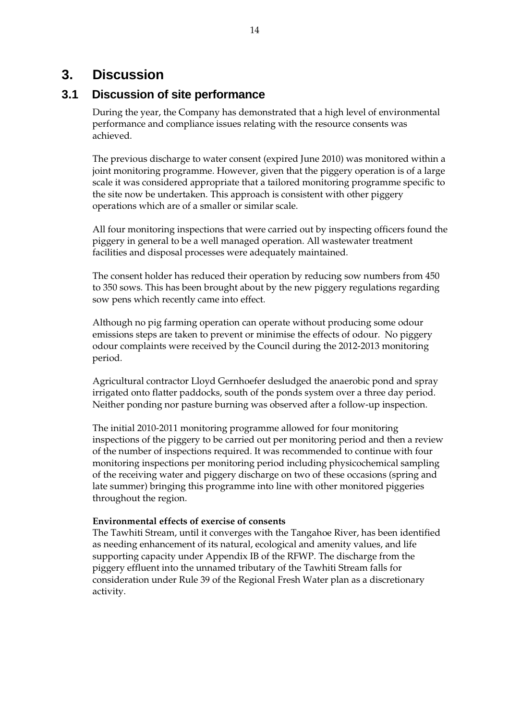# **3. Discussion**

## **3.1 Discussion of site performance**

During the year, the Company has demonstrated that a high level of environmental performance and compliance issues relating with the resource consents was achieved.

The previous discharge to water consent (expired June 2010) was monitored within a joint monitoring programme. However, given that the piggery operation is of a large scale it was considered appropriate that a tailored monitoring programme specific to the site now be undertaken. This approach is consistent with other piggery operations which are of a smaller or similar scale.

All four monitoring inspections that were carried out by inspecting officers found the piggery in general to be a well managed operation. All wastewater treatment facilities and disposal processes were adequately maintained.

The consent holder has reduced their operation by reducing sow numbers from 450 to 350 sows. This has been brought about by the new piggery regulations regarding sow pens which recently came into effect.

Although no pig farming operation can operate without producing some odour emissions steps are taken to prevent or minimise the effects of odour. No piggery odour complaints were received by the Council during the 2012-2013 monitoring period.

Agricultural contractor Lloyd Gernhoefer desludged the anaerobic pond and spray irrigated onto flatter paddocks, south of the ponds system over a three day period. Neither ponding nor pasture burning was observed after a follow-up inspection.

The initial 2010-2011 monitoring programme allowed for four monitoring inspections of the piggery to be carried out per monitoring period and then a review of the number of inspections required. It was recommended to continue with four monitoring inspections per monitoring period including physicochemical sampling of the receiving water and piggery discharge on two of these occasions (spring and late summer) bringing this programme into line with other monitored piggeries throughout the region.

#### **Environmental effects of exercise of consents**

The Tawhiti Stream, until it converges with the Tangahoe River, has been identified as needing enhancement of its natural, ecological and amenity values, and life supporting capacity under Appendix IB of the RFWP. The discharge from the piggery effluent into the unnamed tributary of the Tawhiti Stream falls for consideration under Rule 39 of the Regional Fresh Water plan as a discretionary activity.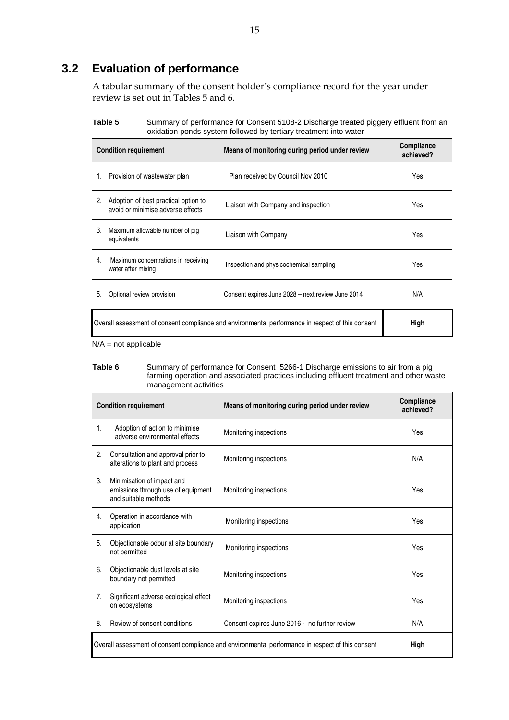## **3.2 Evaluation of performance**

A tabular summary of the consent holder's compliance record for the year under review is set out in Tables 5 and 6.

| Table 5 | Summary of performance for Consent 5108-2 Discharge treated piggery effluent from an |
|---------|--------------------------------------------------------------------------------------|
|         | oxidation ponds system followed by tertiary treatment into water                     |

|    | <b>Condition requirement</b>                                                                              | Means of monitoring during period under review    | Compliance<br>achieved? |
|----|-----------------------------------------------------------------------------------------------------------|---------------------------------------------------|-------------------------|
|    | 1. Provision of wastewater plan                                                                           | Plan received by Council Nov 2010                 | Yes                     |
| 2. | Adoption of best practical option to<br>avoid or minimise adverse effects                                 | Liaison with Company and inspection               | Yes                     |
| 3. | Maximum allowable number of pig<br>equivalents                                                            | Liaison with Company                              | Yes                     |
| 4. | Maximum concentrations in receiving<br>water after mixing                                                 | Inspection and physicochemical sampling           | Yes                     |
| 5. | Optional review provision                                                                                 | Consent expires June 2028 - next review June 2014 | N/A                     |
|    | Overall assessment of consent compliance and environmental performance in respect of this consent<br>High |                                                   |                         |

N/A = not applicable

#### **Table 6** Summary of performance for Consent 5266-1 Discharge emissions to air from a pig farming operation and associated practices including effluent treatment and other waste management activities

|                                                                                                   | <b>Condition requirement</b>                                                             | Means of monitoring during period under review | Compliance<br>achieved? |
|---------------------------------------------------------------------------------------------------|------------------------------------------------------------------------------------------|------------------------------------------------|-------------------------|
| 1.                                                                                                | Adoption of action to minimise<br>adverse environmental effects                          | Monitoring inspections                         | Yes                     |
| 2.                                                                                                | Consultation and approval prior to<br>alterations to plant and process                   | Monitoring inspections                         | N/A                     |
| 3.                                                                                                | Minimisation of impact and<br>emissions through use of equipment<br>and suitable methods | Monitoring inspections                         | Yes                     |
| 4.                                                                                                | Operation in accordance with<br>application                                              | Monitoring inspections                         | Yes                     |
| 5.                                                                                                | Objectionable odour at site boundary<br>not permitted                                    | Monitoring inspections                         | Yes                     |
| 6.                                                                                                | Objectionable dust levels at site<br>boundary not permitted                              | Monitoring inspections                         | Yes                     |
| 7.                                                                                                | Significant adverse ecological effect<br>on ecosystems                                   | Monitoring inspections                         | Yes                     |
| 8.                                                                                                | Review of consent conditions                                                             | Consent expires June 2016 - no further review  | N/A                     |
| Overall assessment of consent compliance and environmental performance in respect of this consent |                                                                                          |                                                | High                    |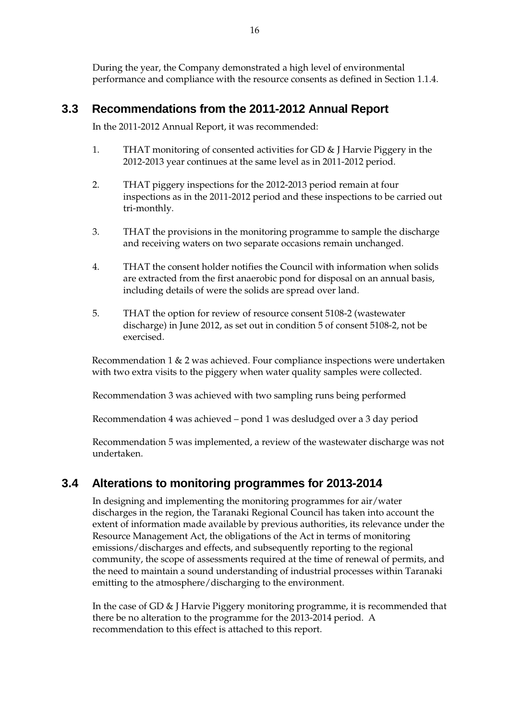During the year, the Company demonstrated a high level of environmental performance and compliance with the resource consents as defined in Section 1.1.4.

## **3.3 Recommendations from the 2011-2012 Annual Report**

In the 2011-2012 Annual Report, it was recommended:

- 1. THAT monitoring of consented activities for GD & J Harvie Piggery in the 2012-2013 year continues at the same level as in 2011-2012 period.
- 2. THAT piggery inspections for the 2012-2013 period remain at four inspections as in the 2011-2012 period and these inspections to be carried out tri-monthly.
- 3. THAT the provisions in the monitoring programme to sample the discharge and receiving waters on two separate occasions remain unchanged.
- 4. THAT the consent holder notifies the Council with information when solids are extracted from the first anaerobic pond for disposal on an annual basis, including details of were the solids are spread over land.
- 5. THAT the option for review of resource consent 5108-2 (wastewater discharge) in June 2012, as set out in condition 5 of consent 5108-2, not be exercised.

Recommendation 1 & 2 was achieved. Four compliance inspections were undertaken with two extra visits to the piggery when water quality samples were collected.

Recommendation 3 was achieved with two sampling runs being performed

Recommendation 4 was achieved – pond 1 was desludged over a 3 day period

Recommendation 5 was implemented, a review of the wastewater discharge was not undertaken.

## **3.4 Alterations to monitoring programmes for 2013-2014**

In designing and implementing the monitoring programmes for air/water discharges in the region, the Taranaki Regional Council has taken into account the extent of information made available by previous authorities, its relevance under the Resource Management Act, the obligations of the Act in terms of monitoring emissions/discharges and effects, and subsequently reporting to the regional community, the scope of assessments required at the time of renewal of permits, and the need to maintain a sound understanding of industrial processes within Taranaki emitting to the atmosphere/discharging to the environment.

In the case of GD & J Harvie Piggery monitoring programme, it is recommended that there be no alteration to the programme for the 2013-2014 period. A recommendation to this effect is attached to this report.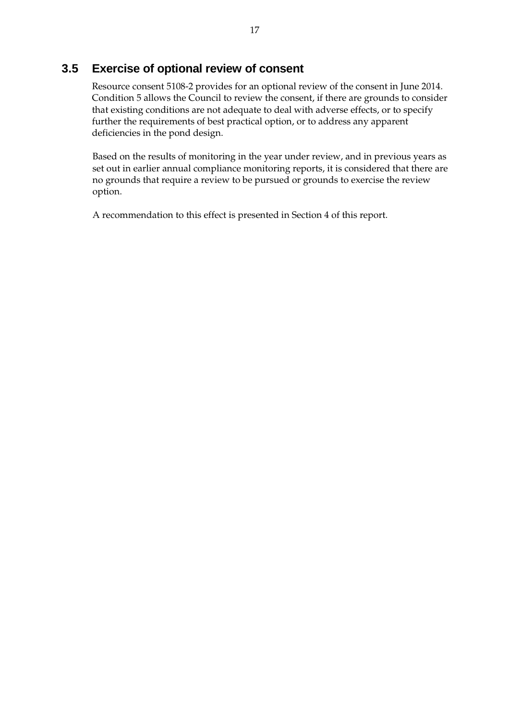## **3.5 Exercise of optional review of consent**

Resource consent 5108-2 provides for an optional review of the consent in June 2014. Condition 5 allows the Council to review the consent, if there are grounds to consider that existing conditions are not adequate to deal with adverse effects, or to specify further the requirements of best practical option, or to address any apparent deficiencies in the pond design.

Based on the results of monitoring in the year under review, and in previous years as set out in earlier annual compliance monitoring reports, it is considered that there are no grounds that require a review to be pursued or grounds to exercise the review option.

A recommendation to this effect is presented in Section 4 of this report.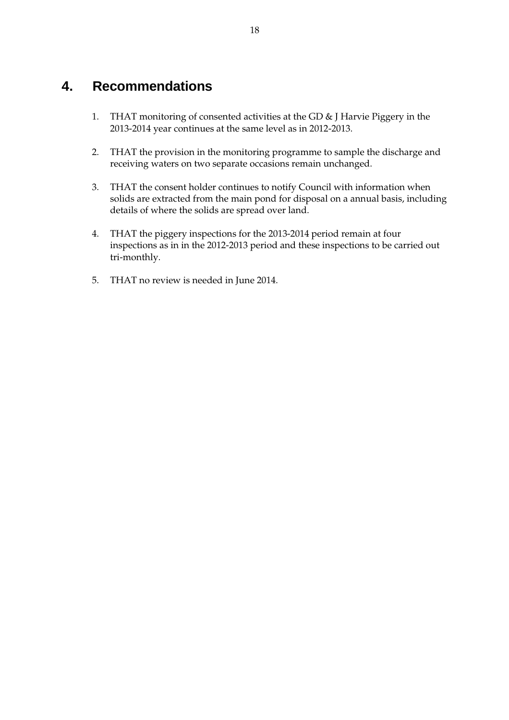# **4. Recommendations**

- 1. THAT monitoring of consented activities at the GD & J Harvie Piggery in the 2013-2014 year continues at the same level as in 2012-2013.
- 2. THAT the provision in the monitoring programme to sample the discharge and receiving waters on two separate occasions remain unchanged.
- 3. THAT the consent holder continues to notify Council with information when solids are extracted from the main pond for disposal on a annual basis, including details of where the solids are spread over land.
- 4. THAT the piggery inspections for the 2013-2014 period remain at four inspections as in in the 2012-2013 period and these inspections to be carried out tri-monthly.
- 5. THAT no review is needed in June 2014.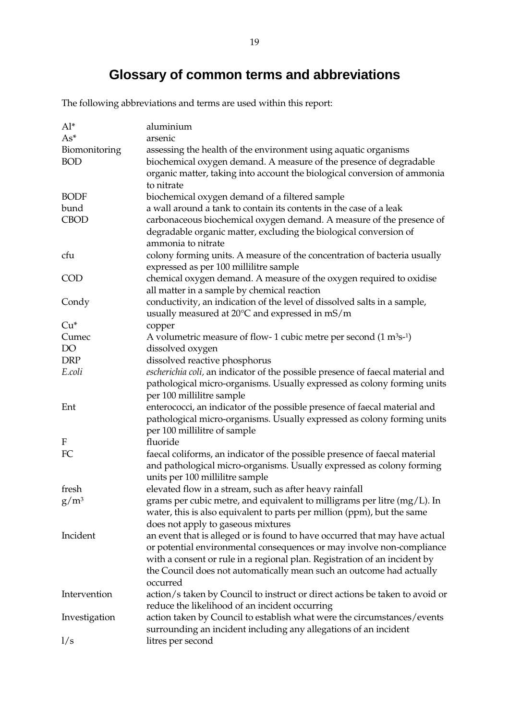# **Glossary of common terms and abbreviations**

The following abbreviations and terms are used within this report:

| $Al^*$        | aluminium                                                                              |
|---------------|----------------------------------------------------------------------------------------|
| $As*$         | arsenic                                                                                |
| Biomonitoring | assessing the health of the environment using aquatic organisms                        |
| <b>BOD</b>    | biochemical oxygen demand. A measure of the presence of degradable                     |
|               | organic matter, taking into account the biological conversion of ammonia               |
|               | to nitrate                                                                             |
| <b>BODF</b>   | biochemical oxygen demand of a filtered sample                                         |
| bund          | a wall around a tank to contain its contents in the case of a leak                     |
| <b>CBOD</b>   | carbonaceous biochemical oxygen demand. A measure of the presence of                   |
|               | degradable organic matter, excluding the biological conversion of                      |
|               | ammonia to nitrate                                                                     |
| cfu           | colony forming units. A measure of the concentration of bacteria usually               |
|               | expressed as per 100 millilitre sample                                                 |
| <b>COD</b>    | chemical oxygen demand. A measure of the oxygen required to oxidise                    |
|               | all matter in a sample by chemical reaction                                            |
| Condy         | conductivity, an indication of the level of dissolved salts in a sample,               |
|               | usually measured at $20^{\circ}$ C and expressed in mS/m                               |
| $Cu*$         | copper                                                                                 |
| Cumec         | A volumetric measure of flow- 1 cubic metre per second $(1 \text{ m}^3 \text{s}^{-1})$ |
| DO            | dissolved oxygen                                                                       |
| <b>DRP</b>    | dissolved reactive phosphorus                                                          |
| E.coli        | escherichia coli, an indicator of the possible presence of faecal material and         |
|               | pathological micro-organisms. Usually expressed as colony forming units                |
|               | per 100 millilitre sample                                                              |
| Ent           | enterococci, an indicator of the possible presence of faecal material and              |
|               | pathological micro-organisms. Usually expressed as colony forming units                |
|               | per 100 millilitre of sample                                                           |
| F             | fluoride                                                                               |
| FC            | faecal coliforms, an indicator of the possible presence of faecal material             |
|               | and pathological micro-organisms. Usually expressed as colony forming                  |
|               | units per 100 millilitre sample                                                        |
| fresh         | elevated flow in a stream, such as after heavy rainfall                                |
| $g/m^3$       | grams per cubic metre, and equivalent to milligrams per litre $(mg/L)$ . In            |
|               | water, this is also equivalent to parts per million (ppm), but the same                |
|               | does not apply to gaseous mixtures                                                     |
| Incident      | an event that is alleged or is found to have occurred that may have actual             |
|               | or potential environmental consequences or may involve non-compliance                  |
|               | with a consent or rule in a regional plan. Registration of an incident by              |
|               | the Council does not automatically mean such an outcome had actually<br>occurred       |
| Intervention  | action/s taken by Council to instruct or direct actions be taken to avoid or           |
|               | reduce the likelihood of an incident occurring                                         |
| Investigation | action taken by Council to establish what were the circumstances/events                |
|               | surrounding an incident including any allegations of an incident                       |
| 1/s           | litres per second                                                                      |
|               |                                                                                        |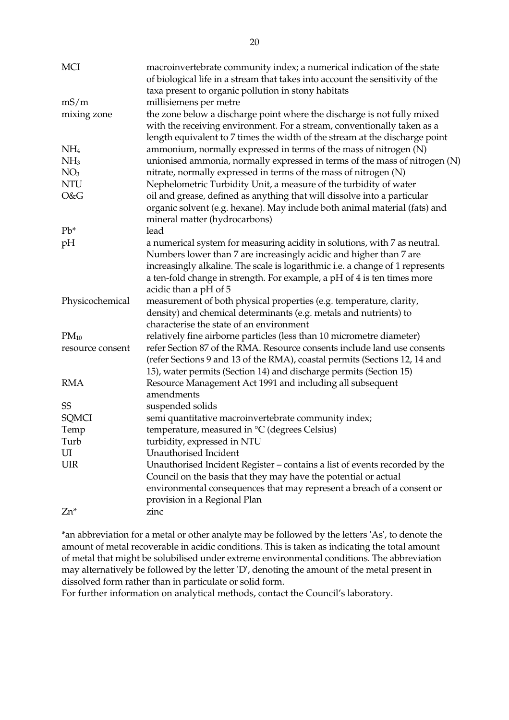| <b>MCI</b>       | macroinvertebrate community index; a numerical indication of the state        |
|------------------|-------------------------------------------------------------------------------|
|                  | of biological life in a stream that takes into account the sensitivity of the |
|                  | taxa present to organic pollution in stony habitats                           |
| mS/m             | millisiemens per metre                                                        |
| mixing zone      | the zone below a discharge point where the discharge is not fully mixed       |
|                  | with the receiving environment. For a stream, conventionally taken as a       |
|                  | length equivalent to 7 times the width of the stream at the discharge point   |
| NH <sub>4</sub>  | ammonium, normally expressed in terms of the mass of nitrogen (N)             |
| NH <sub>3</sub>  | unionised ammonia, normally expressed in terms of the mass of nitrogen (N)    |
| NO <sub>3</sub>  | nitrate, normally expressed in terms of the mass of nitrogen (N)              |
| <b>NTU</b>       | Nephelometric Turbidity Unit, a measure of the turbidity of water             |
| O&G              | oil and grease, defined as anything that will dissolve into a particular      |
|                  | organic solvent (e.g. hexane). May include both animal material (fats) and    |
|                  | mineral matter (hydrocarbons)                                                 |
| $Pb^*$           | lead                                                                          |
| pH               | a numerical system for measuring acidity in solutions, with 7 as neutral.     |
|                  | Numbers lower than 7 are increasingly acidic and higher than 7 are            |
|                  | increasingly alkaline. The scale is logarithmic i.e. a change of 1 represents |
|                  | a ten-fold change in strength. For example, a pH of 4 is ten times more       |
|                  | acidic than a pH of 5                                                         |
| Physicochemical  | measurement of both physical properties (e.g. temperature, clarity,           |
|                  | density) and chemical determinants (e.g. metals and nutrients) to             |
|                  | characterise the state of an environment                                      |
| $PM_{10}$        | relatively fine airborne particles (less than 10 micrometre diameter)         |
| resource consent | refer Section 87 of the RMA. Resource consents include land use consents      |
|                  | (refer Sections 9 and 13 of the RMA), coastal permits (Sections 12, 14 and    |
|                  | 15), water permits (Section 14) and discharge permits (Section 15)            |
| <b>RMA</b>       | Resource Management Act 1991 and including all subsequent                     |
|                  | amendments                                                                    |
| SS               | suspended solids                                                              |
| <b>SQMCI</b>     | semi quantitative macroinvertebrate community index;                          |
| Temp             | temperature, measured in °C (degrees Celsius)                                 |
| Turb             | turbidity, expressed in NTU                                                   |
| UI               | Unauthorised Incident                                                         |
| <b>UIR</b>       | Unauthorised Incident Register – contains a list of events recorded by the    |
|                  | Council on the basis that they may have the potential or actual               |
|                  | environmental consequences that may represent a breach of a consent or        |
|                  | provision in a Regional Plan                                                  |
| Zn*              | zinc                                                                          |

\*an abbreviation for a metal or other analyte may be followed by the letters 'As', to denote the amount of metal recoverable in acidic conditions. This is taken as indicating the total amount of metal that might be solubilised under extreme environmental conditions. The abbreviation may alternatively be followed by the letter 'D', denoting the amount of the metal present in dissolved form rather than in particulate or solid form.

For further information on analytical methods, contact the Council's laboratory.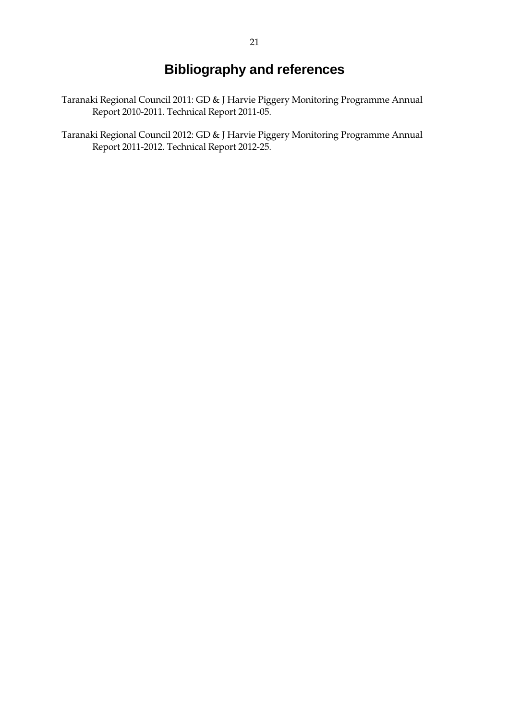# **Bibliography and references**

- Taranaki Regional Council 2011: GD & J Harvie Piggery Monitoring Programme Annual Report 2010-2011. Technical Report 2011-05.
- Taranaki Regional Council 2012: GD & J Harvie Piggery Monitoring Programme Annual Report 2011-2012. Technical Report 2012-25.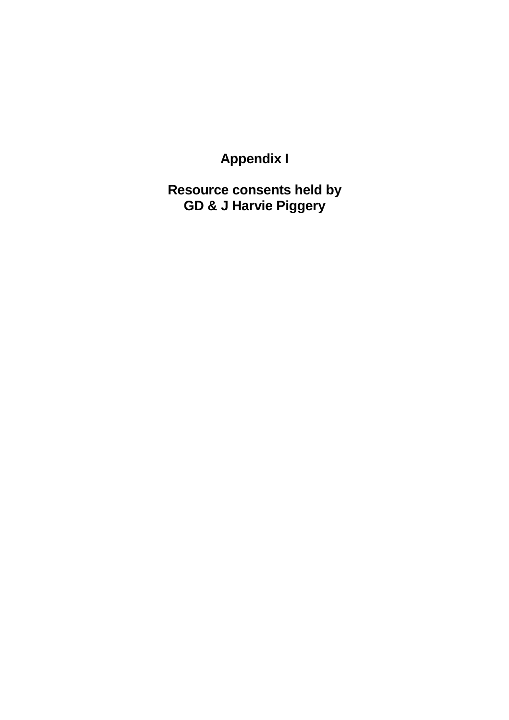**Appendix I** 

**Resource consents held by GD & J Harvie Piggery**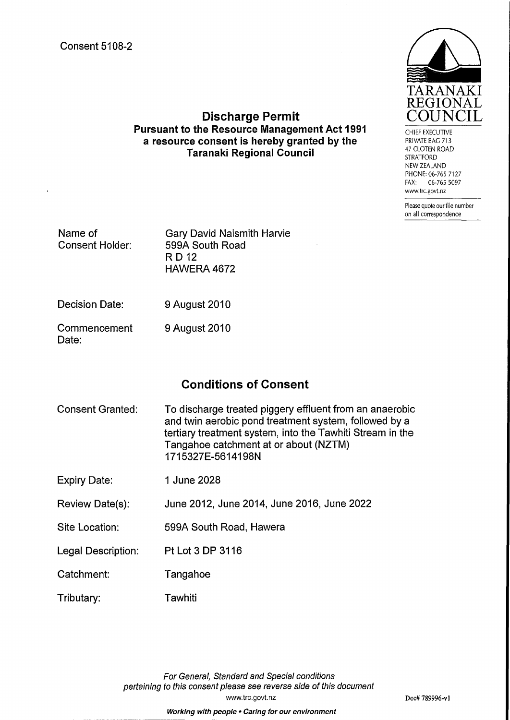

**Discharge Permit Pursuant to the Resource Management Act 1991** a resource consent is hereby granted by the **Taranaki Regional Council** 

**CHIEF EXECUTIVE** PRIVATE BAG 713 47 CLOTEN ROAD **STRATFORD** NEW ZEALAND PHONE: 06-765 7127 FAX: 06-765 5097 www.trc.govt.nz

Please quote our file number on all correspondence

| Name of<br><b>Consent Holder:</b> | <b>Gary David Naismith Harvie</b><br>599A South Road<br>RD 12<br>HAWERA 4672 |
|-----------------------------------|------------------------------------------------------------------------------|
|                                   |                                                                              |

Decision Date: 9 August 2010

Commencement 9 August 2010 Date:

## **Conditions of Consent**

- **Consent Granted:** To discharge treated piggery effluent from an anaerobic and twin aerobic pond treatment system, followed by a tertiary treatment system, into the Tawhiti Stream in the Tangahoe catchment at or about (NZTM) 1715327E-5614198N
- **Expiry Date:** 1 June 2028
- June 2012, June 2014, June 2016, June 2022 **Review Date(s):**
- Site Location: 599A South Road, Hawera
- **Legal Description:** Pt Lot 3 DP 3116
- Catchment: Tangahoe
- Tawhiti Tributary:

For General, Standard and Special conditions pertaining to this consent please see reverse side of this document www.trc.govt.nz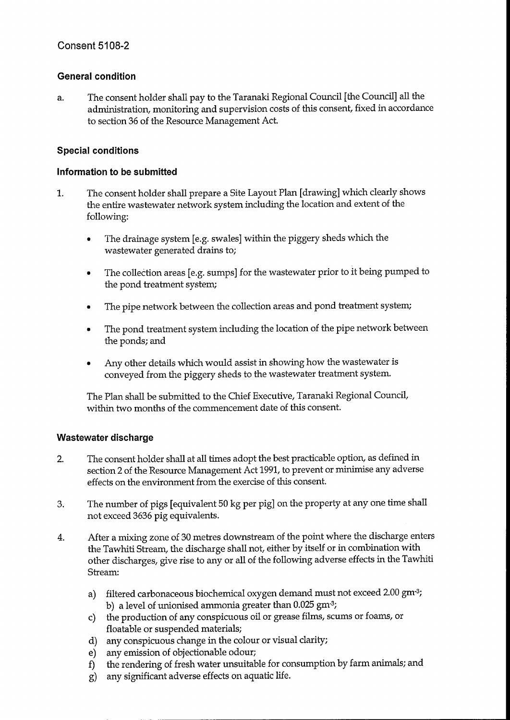### **General condition**

The consent holder shall pay to the Taranaki Regional Council [the Council] all the a. administration, monitoring and supervision costs of this consent, fixed in accordance to section 36 of the Resource Management Act.

#### **Special conditions**

#### Information to be submitted

- $\mathbf{1}$ . The consent holder shall prepare a Site Layout Plan [drawing] which clearly shows the entire wastewater network system including the location and extent of the following:
	- The drainage system [e.g. swales] within the piggery sheds which the wastewater generated drains to;
	- The collection areas [e.g. sumps] for the wastewater prior to it being pumped to  $\bullet$ the pond treatment system;
	- The pipe network between the collection areas and pond treatment system;
	- The pond treatment system including the location of the pipe network between the ponds; and
	- Any other details which would assist in showing how the wastewater is conveyed from the piggery sheds to the wastewater treatment system.

The Plan shall be submitted to the Chief Executive, Taranaki Regional Council, within two months of the commencement date of this consent.

#### Wastewater discharge

- The consent holder shall at all times adopt the best practicable option, as defined in  $2.$ section 2 of the Resource Management Act 1991, to prevent or minimise any adverse effects on the environment from the exercise of this consent.
- The number of pigs [equivalent 50 kg per pig] on the property at any one time shall 3. not exceed 3636 pig equivalents.
- After a mixing zone of 30 metres downstream of the point where the discharge enters 4. the Tawhiti Stream, the discharge shall not, either by itself or in combination with other discharges, give rise to any or all of the following adverse effects in the Tawhiti Stream:
	- filtered carbonaceous biochemical oxygen demand must not exceed 2.00 gm<sup>-3</sup>; a) b) a level of unionised ammonia greater than  $0.025$  gm<sup>-3</sup>;
	- the production of any conspicuous oil or grease films, scums or foams, or  $c)$ floatable or suspended materials;
	- d) any conspicuous change in the colour or visual clarity;
	- e) any emission of objectionable odour;
	- the rendering of fresh water unsuitable for consumption by farm animals; and f)
	- g) any significant adverse effects on aquatic life.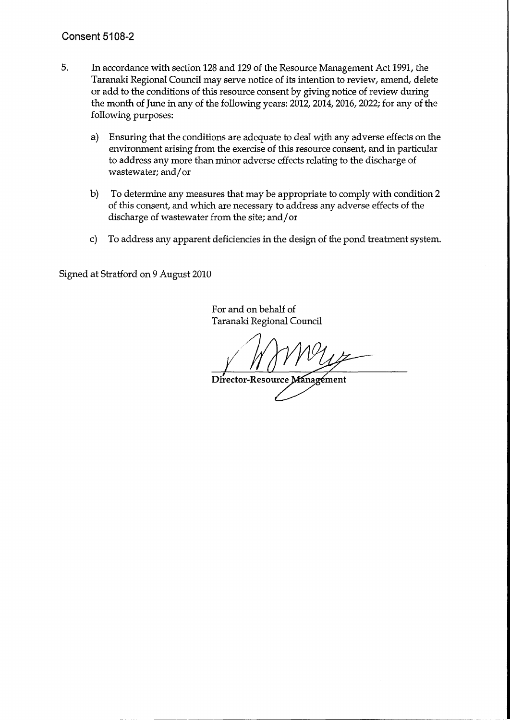### **Consent 5108-2**

- 5. In accordance with section 128 and 129 of the Resource Management Act 1991, the Taranaki Regional Council may serve notice of its intention to review, amend, delete or add to the conditions of this resource consent by giving notice of review during the month of June in any of the following years: 2012, 2014, 2016, 2022; for any of the following purposes:
	- Ensuring that the conditions are adequate to deal with any adverse effects on the  $a)$ environment arising from the exercise of this resource consent, and in particular to address any more than minor adverse effects relating to the discharge of wastewater; and/or
	- To determine any measures that may be appropriate to comply with condition 2  $\mathbf{b}$ of this consent, and which are necessary to address any adverse effects of the discharge of wastewater from the site; and/or
	- To address any apparent deficiencies in the design of the pond treatment system.  $\mathbf{C}$

Signed at Stratford on 9 August 2010

For and on behalf of Taranaki Regional Council

Director-Resource Management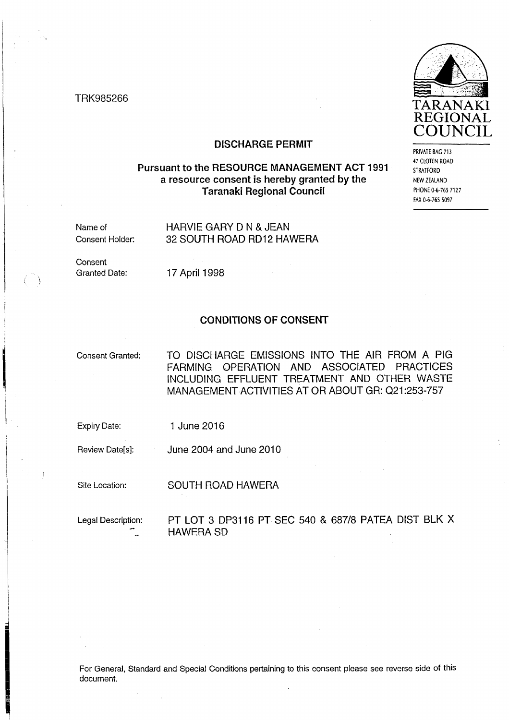TRK985266



PRIVATE BAG 713 47 CLOTEN ROAD **STRATFORD** NEW ZEALAND PHONE 0-6-765 7127 FAX 0-6-765 5097

#### **DISCHARGE PERMIT**

#### Pursuant to the RESOURCE MANAGEMENT ACT 1991 a resource consent is hereby granted by the **Taranaki Regional Council**

Name of Consent Holder: HARVIE GARY D N & JEAN 32 SOUTH ROAD RD12 HAWERA

Consent **Granted Date:** 

17 April 1998

#### **CONDITIONS OF CONSENT**

**Consent Granted:** 

TO DISCHARGE EMISSIONS INTO THE AIR FROM A PIG FARMING OPERATION AND ASSOCIATED PRACTICES INCLUDING EFFLUENT TREATMENT AND OTHER WASTE MANAGEMENT ACTIVITIES AT OR ABOUT GR: Q21:253-757

**Expiry Date:** 1 June 2016

Review Date[s]: June 2004 and June 2010

Site Location:

**SOUTH ROAD HAWERA** 

Legal Description:

#### PT LOT 3 DP3116 PT SEC 540 & 687/8 PATEA DIST BLK X **HAWERA SD**

For General, Standard and Special Conditions pertaining to this consent please see reverse side of this document.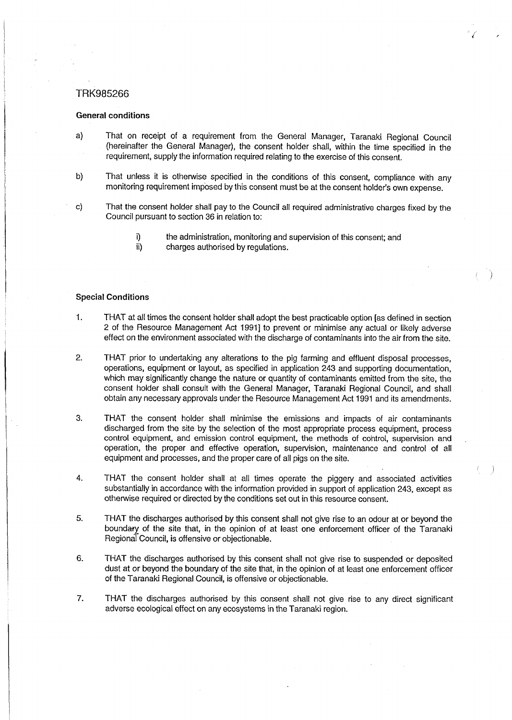#### TRK985266

#### **General conditions**

- That on receipt of a requirement from the General Manager, Taranaki Regional Council a) (hereinafter the General Manager), the consent holder shall, within the time specified in the requirement, supply the information required relating to the exercise of this consent.
- b) That unless it is otherwise specified in the conditions of this consent, compliance with any monitoring requirement imposed by this consent must be at the consent holder's own expense.
- $\mathbf{c}$ That the consent holder shall pay to the Council all required administrative charges fixed by the Council pursuant to section 36 in relation to:
	- the administration, monitoring and supervision of this consent; and ï)
	- ii) charges authorised by regulations.

#### **Special Conditions**

- THAT at all times the consent holder shall adopt the best practicable option [as defined in section 1. 2 of the Resource Management Act 1991] to prevent or minimise any actual or likely adverse effect on the environment associated with the discharge of contaminants into the air from the site.
- $2.$ THAT prior to undertaking any alterations to the pig farming and effluent disposal processes, operations, equipment or layout, as specified in application 243 and supporting documentation, which may significantly change the nature or quantity of contaminants emitted from the site, the consent holder shall consult with the General Manager, Taranaki Regional Council, and shall obtain any necessary approvals under the Resource Management Act 1991 and its amendments.
- $3.$ THAT the consent holder shall minimise the emissions and impacts of air contaminants discharged from the site by the selection of the most appropriate process equipment, process control equipment, and emission control equipment, the methods of control, supervision and operation, the proper and effective operation, supervision, maintenance and control of all equipment and processes, and the proper care of all pigs on the site.
- 4. THAT the consent holder shall at all times operate the piggery and associated activities substantially in accordance with the information provided in support of application 243, except as otherwise required or directed by the conditions set out in this resource consent.

 $\rightarrow$ 

- 5. THAT the discharges authorised by this consent shall not give rise to an odour at or beyond the boundary of the site that, in the opinion of at least one enforcement officer of the Taranaki Regional Council, is offensive or objectionable.
- THAT the discharges authorised by this consent shall not give rise to suspended or deposited 6. dust at or beyond the boundary of the site that, in the opinion of at least one enforcement officer of the Taranaki Regional Council, is offensive or objectionable.
- 7. THAT the discharges authorised by this consent shall not give rise to any direct significant adverse ecological effect on any ecosystems in the Taranaki region.